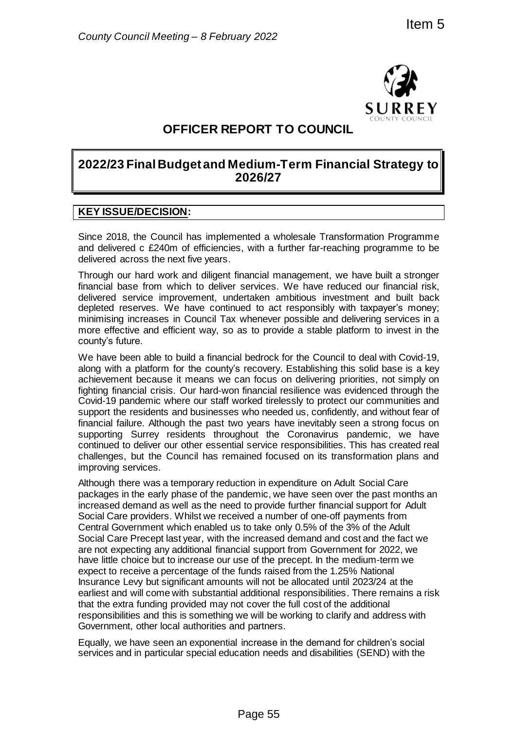

# **OFFICER REPORT TO COUNCIL**

# **2022/23 Final Budget and Medium-Term Financial Strategy to 2026/27**

### **KEY ISSUE/DECISION:**

Since 2018, the Council has implemented a wholesale Transformation Programme and delivered c £240m of efficiencies, with a further far-reaching programme to be delivered across the next five years.

Through our hard work and diligent financial management, we have built a stronger financial base from which to deliver services. We have reduced our financial risk, delivered service improvement, undertaken ambitious investment and built back depleted reserves. We have continued to act responsibly with taxpayer's money; minimising increases in Council Tax whenever possible and delivering services in a more effective and efficient way, so as to provide a stable platform to invest in the county's future.

We have been able to build a financial bedrock for the Council to deal with Covid-19, along with a platform for the county's recovery. Establishing this solid base is a key achievement because it means we can focus on delivering priorities, not simply on fighting financial crisis. Our hard-won financial resilience was evidenced through the Covid-19 pandemic where our staff worked tirelessly to protect our communities and support the residents and businesses who needed us, confidently, and without fear of financial failure. Although the past two years have inevitably seen a strong focus on supporting Surrey residents throughout the Coronavirus pandemic, we have continued to deliver our other essential service responsibilities. This has created real challenges, but the Council has remained focused on its transformation plans and improving services.

Although there was a temporary reduction in expenditure on Adult Social Care packages in the early phase of the pandemic, we have seen over the past months an increased demand as well as the need to provide further financial support for Adult Social Care providers. Whilst we received a number of one-off payments from Central Government which enabled us to take only 0.5% of the 3% of the Adult Social Care Precept last year, with the increased demand and cost and the fact we are not expecting any additional financial support from Government for 2022, we have little choice but to increase our use of the precept. In the medium-term we expect to receive a percentage of the funds raised from the 1.25% National Insurance Levy but significant amounts will not be allocated until 2023/24 at the earliest and will come with substantial additional responsibilities. There remains a risk that the extra funding provided may not cover the full cost of the additional responsibilities and this is something we will be working to clarify and address with Government, other local authorities and partners. The Transformation of the medium of the medium of the medium of the medium of the medium of the medium of the medium of the medium of the medium of the medium of the medium of the medium of the medium of the medium of the

Equally, we have seen an exponential increase in the demand for children's social services and in particular special education needs and disabilities (SEND) with the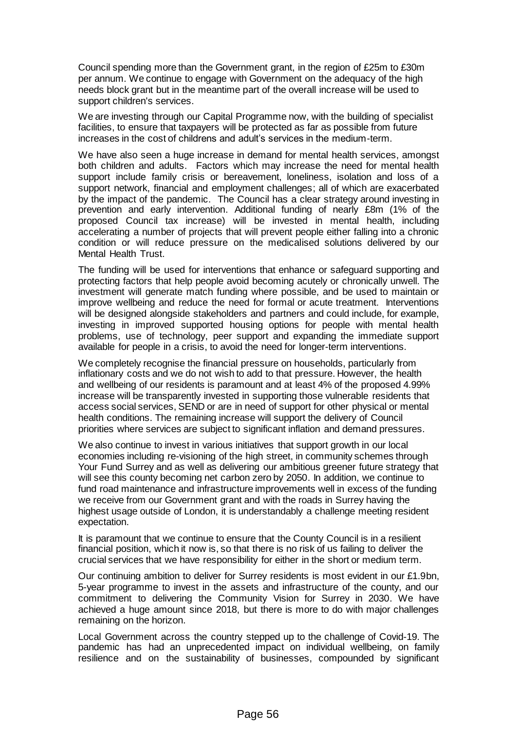Council spending more than the Government grant, in the region of £25m to £30m per annum. We continue to engage with Government on the adequacy of the high needs block grant but in the meantime part of the overall increase will be used to support children's services.

We are investing through our Capital Programme now, with the building of specialist facilities, to ensure that taxpayers will be protected as far as possible from future increases in the cost of childrens and adult's services in the medium-term.

We have also seen a huge increase in demand for mental health services, amongst both children and adults. Factors which may increase the need for mental health support include family crisis or bereavement, loneliness, isolation and loss of a support network, financial and employment challenges; all of which are exacerbated by the impact of the pandemic. The Council has a clear strategy around investing in prevention and early intervention. Additional funding of nearly £8m (1% of the proposed Council tax increase) will be invested in mental health, including accelerating a number of projects that will prevent people either falling into a chronic condition or will reduce pressure on the medicalised solutions delivered by our Mental Health Trust.

The funding will be used for interventions that enhance or safeguard supporting and protecting factors that help people avoid becoming acutely or chronically unwell. The investment will generate match funding where possible, and be used to maintain or improve wellbeing and reduce the need for formal or acute treatment. Interventions will be designed alongside stakeholders and partners and could include, for example, investing in improved supported housing options for people with mental health problems, use of technology, peer support and expanding the immediate support available for people in a crisis, to avoid the need for longer-term interventions.

We completely recognise the financial pressure on households, particularly from inflationary costs and we do not wish to add to that pressure. However, the health and wellbeing of our residents is paramount and at least 4% of the proposed 4.99% increase will be transparently invested in supporting those vulnerable residents that access social services, SEND or are in need of support for other physical or mental health conditions. The remaining increase will support the delivery of Council priorities where services are subject to significant inflation and demand pressures.

We also continue to invest in various initiatives that support growth in our local economies including re-visioning of the high street, in community schemes through Your Fund Surrey and as well as delivering our ambitious greener future strategy that will see this county becoming net carbon zero by 2050. In addition, we continue to fund road maintenance and infrastructure improvements well in excess of the funding we receive from our Government grant and with the roads in Surrey having the highest usage outside of London, it is understandably a challenge meeting resident expectation.

It is paramount that we continue to ensure that the County Council is in a resilient financial position, which it now is, so that there is no risk of us failing to deliver the crucial services that we have responsibility for either in the short or medium term.

Our continuing ambition to deliver for Surrey residents is most evident in our £1.9bn, 5-year programme to invest in the assets and infrastructure of the county, and our commitment to delivering the Community Vision for Surrey in 2030. We have achieved a huge amount since 2018, but there is more to do with major challenges remaining on the horizon.

Local Government across the country stepped up to the challenge of Covid-19. The pandemic has had an unprecedented impact on individual wellbeing, on family resilience and on the sustainability of businesses, compounded by significant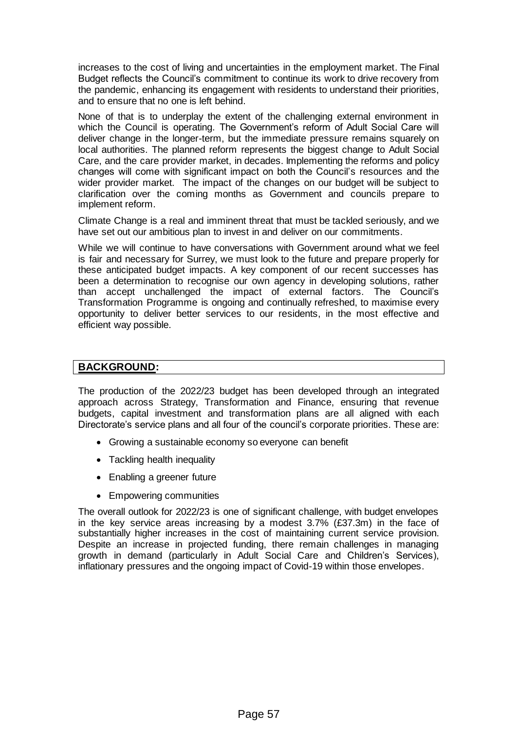increases to the cost of living and uncertainties in the employment market. The Final Budget reflects the Council's commitment to continue its work to drive recovery from the pandemic, enhancing its engagement with residents to understand their priorities, and to ensure that no one is left behind.

None of that is to underplay the extent of the challenging external environment in which the Council is operating. The Government's reform of Adult Social Care will deliver change in the longer-term, but the immediate pressure remains squarely on local authorities. The planned reform represents the biggest change to Adult Social Care, and the care provider market, in decades. Implementing the reforms and policy changes will come with significant impact on both the Council's resources and the wider provider market. The impact of the changes on our budget will be subject to clarification over the coming months as Government and councils prepare to implement reform.

Climate Change is a real and imminent threat that must be tackled seriously, and we have set out our ambitious plan to invest in and deliver on our commitments.

While we will continue to have conversations with Government around what we feel is fair and necessary for Surrey, we must look to the future and prepare properly for these anticipated budget impacts. A key component of our recent successes has been a determination to recognise our own agency in developing solutions, rather than accept unchallenged the impact of external factors. The Council's Transformation Programme is ongoing and continually refreshed, to maximise every opportunity to deliver better services to our residents, in the most effective and efficient way possible.

### **BACKGROUND:**

The production of the 2022/23 budget has been developed through an integrated approach across Strategy, Transformation and Finance, ensuring that revenue budgets, capital investment and transformation plans are all aligned with each Directorate's service plans and all four of the council's corporate priorities. These are:

- Growing a sustainable economy so everyone can benefit
- Tackling health inequality
- Enabling a greener future
- Empowering communities

The overall outlook for 2022/23 is one of significant challenge, with budget envelopes in the key service areas increasing by a modest 3.7% (£37.3m) in the face of substantially higher increases in the cost of maintaining current service provision. Despite an increase in projected funding, there remain challenges in managing growth in demand (particularly in Adult Social Care and Children's Services), inflationary pressures and the ongoing impact of Covid-19 within those envelopes.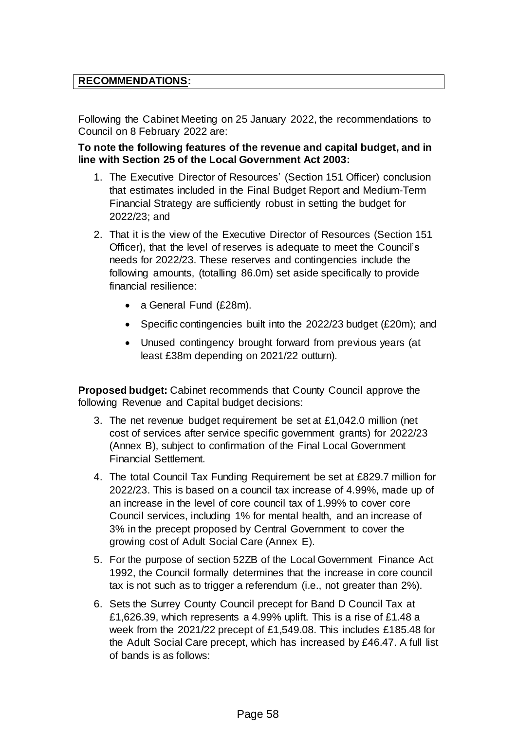### **RECOMMENDATIONS:**

Following the Cabinet Meeting on 25 January 2022, the recommendations to Council on 8 February 2022 are:

**To note the following features of the revenue and capital budget, and in line with Section 25 of the Local Government Act 2003:**

- 1. The Executive Director of Resources' (Section 151 Officer) conclusion that estimates included in the Final Budget Report and Medium-Term Financial Strategy are sufficiently robust in setting the budget for 2022/23; and
- 2. That it is the view of the Executive Director of Resources (Section 151 Officer), that the level of reserves is adequate to meet the Council's needs for 2022/23. These reserves and contingencies include the following amounts, (totalling 86.0m) set aside specifically to provide financial resilience:
	- a General Fund (£28m).
	- Specific contingencies built into the 2022/23 budget (£20m); and
	- Unused contingency brought forward from previous years (at least £38m depending on 2021/22 outturn).

**Proposed budget:** Cabinet recommends that County Council approve the following Revenue and Capital budget decisions:

- 3. The net revenue budget requirement be set at £1,042.0 million (net cost of services after service specific government grants) for 2022/23 (Annex B), subject to confirmation of the Final Local Government Financial Settlement.
- 4. The total Council Tax Funding Requirement be set at £829.7 million for 2022/23. This is based on a council tax increase of 4.99%, made up of an increase in the level of core council tax of 1.99% to cover core Council services, including 1% for mental health, and an increase of 3% in the precept proposed by Central Government to cover the growing cost of Adult Social Care (Annex E).
- 5. For the purpose of section 52ZB of the Local Government Finance Act 1992, the Council formally determines that the increase in core council tax is not such as to trigger a referendum (i.e., not greater than 2%).
- 6. Sets the Surrey County Council precept for Band D Council Tax at £1,626.39, which represents a 4.99% uplift. This is a rise of £1.48 a week from the 2021/22 precept of £1,549.08. This includes £185.48 for the Adult Social Care precept, which has increased by £46.47. A full list of bands is as follows: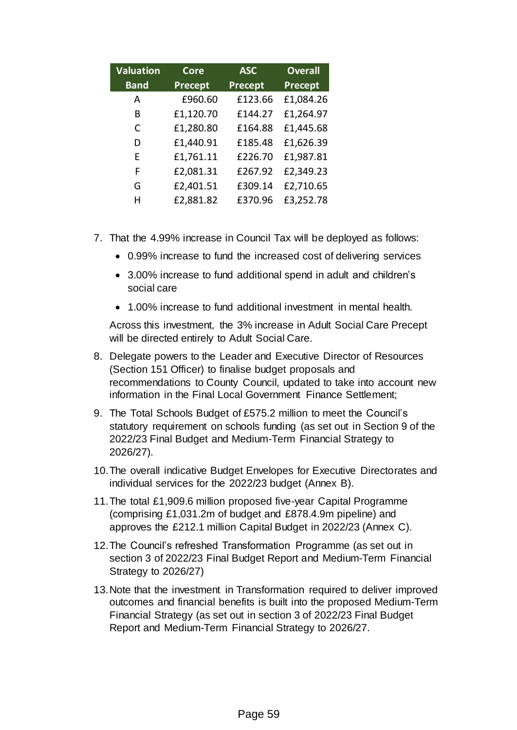| <b>Valuation</b> | <b>Core</b> | <b>ASC</b> | <b>Overall</b> |
|------------------|-------------|------------|----------------|
| <b>Band</b>      | Precept     | Precept    | Precept        |
| A                | £960.60     | £123.66    | £1,084.26      |
| B                | £1,120.70   | £144.27    | £1,264.97      |
| C                | £1,280.80   | £164.88    | £1,445.68      |
| D                | £1,440.91   | £185.48    | £1,626.39      |
| F                | £1,761.11   | £226.70    | £1,987.81      |
| F                | £2,081.31   | £267.92    | £2,349.23      |
| G                | £2,401.51   | £309.14    | £2,710.65      |
| н                | £2,881.82   | £370.96    | £3,252.78      |

- 7. That the 4.99% increase in Council Tax will be deployed as follows:
	- 0.99% increase to fund the increased cost of delivering services
	- 3.00% increase to fund additional spend in adult and children's social care
	- 1.00% increase to fund additional investment in mental health.

Across this investment, the 3% increase in Adult Social Care Precept will be directed entirely to Adult Social Care.

- 8. Delegate powers to the Leader and Executive Director of Resources (Section 151 Officer) to finalise budget proposals and recommendations to County Council, updated to take into account new information in the Final Local Government Finance Settlement;
- 9. The Total Schools Budget of £575.2 million to meet the Council's statutory requirement on schools funding (as set out in Section 9 of the 2022/23 Final Budget and Medium-Term Financial Strategy to 2026/27).
- 10.The overall indicative Budget Envelopes for Executive Directorates and individual services for the 2022/23 budget (Annex B).
- 11.The total £1,909.6 million proposed five-year Capital Programme (comprising £1,031.2m of budget and £878.4.9m pipeline) and approves the £212.1 million Capital Budget in 2022/23 (Annex C).
- 12.The Council's refreshed Transformation Programme (as set out in section 3 of 2022/23 Final Budget Report and Medium-Term Financial Strategy to 2026/27)
- 13.Note that the investment in Transformation required to deliver improved outcomes and financial benefits is built into the proposed Medium-Term Financial Strategy (as set out in section 3 of 2022/23 Final Budget Report and Medium-Term Financial Strategy to 2026/27.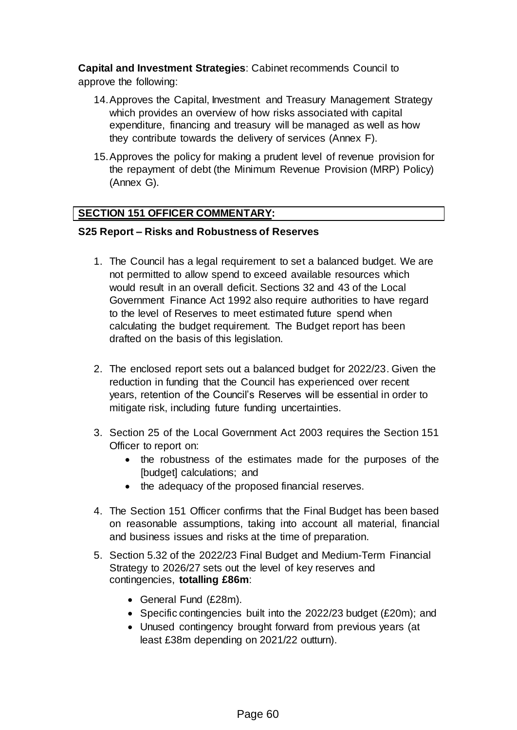**Capital and Investment Strategies**: Cabinet recommends Council to approve the following:

- 14.Approves the Capital, Investment and Treasury Management Strategy which provides an overview of how risks associated with capital expenditure, financing and treasury will be managed as well as how they contribute towards the delivery of services (Annex F).
- 15.Approves the policy for making a prudent level of revenue provision for the repayment of debt (the Minimum Revenue Provision (MRP) Policy) (Annex G).

## **SECTION 151 OFFICER COMMENTARY:**

### **S25 Report – Risks and Robustness of Reserves**

- 1. The Council has a legal requirement to set a balanced budget. We are not permitted to allow spend to exceed available resources which would result in an overall deficit. Sections 32 and 43 of the Local Government Finance Act 1992 also require authorities to have regard to the level of Reserves to meet estimated future spend when calculating the budget requirement. The Budget report has been drafted on the basis of this legislation.
- 2. The enclosed report sets out a balanced budget for 2022/23. Given the reduction in funding that the Council has experienced over recent years, retention of the Council's Reserves will be essential in order to mitigate risk, including future funding uncertainties.
- 3. Section 25 of the Local Government Act 2003 requires the Section 151 Officer to report on:
	- the robustness of the estimates made for the purposes of the [budget] calculations; and
	- the adequacy of the proposed financial reserves.
- 4. The Section 151 Officer confirms that the Final Budget has been based on reasonable assumptions, taking into account all material, financial and business issues and risks at the time of preparation.
- 5. Section 5.32 of the 2022/23 Final Budget and Medium-Term Financial Strategy to 2026/27 sets out the level of key reserves and contingencies, **totalling £86m**:
	- General Fund (£28m).
	- Specific contingencies built into the 2022/23 budget (£20m); and
	- Unused contingency brought forward from previous years (at least £38m depending on 2021/22 outturn).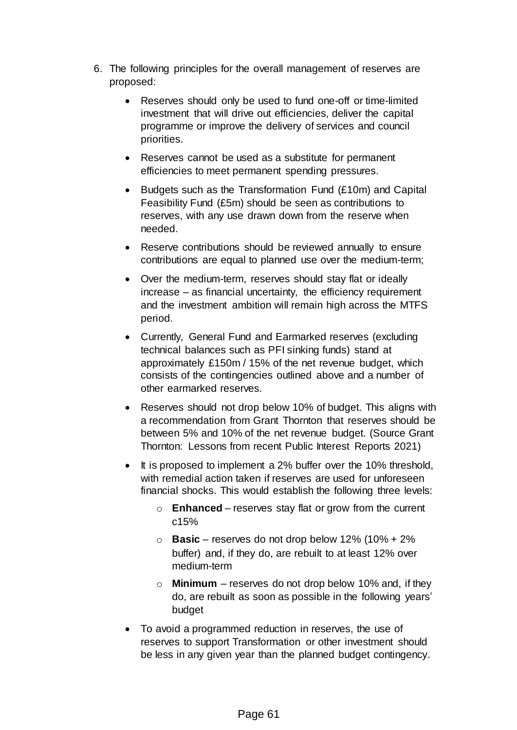- 6. The following principles for the overall management of reserves are proposed:
	- Reserves should only be used to fund one-off or time-limited investment that will drive out efficiencies, deliver the capital programme or improve the delivery of services and council priorities.
	- Reserves cannot be used as a substitute for permanent efficiencies to meet permanent spending pressures.
	- Budgets such as the Transformation Fund (£10m) and Capital Feasibility Fund (£5m) should be seen as contributions to reserves, with any use drawn down from the reserve when needed.
	- Reserve contributions should be reviewed annually to ensure contributions are equal to planned use over the medium-term;
	- Over the medium-term, reserves should stay flat or ideally increase – as financial uncertainty, the efficiency requirement and the investment ambition will remain high across the MTFS period.
	- Currently, General Fund and Earmarked reserves (excluding technical balances such as PFI sinking funds) stand at approximately £150m / 15% of the net revenue budget, which consists of the contingencies outlined above and a number of other earmarked reserves.
	- Reserves should not drop below 10% of budget. This aligns with a recommendation from Grant Thornton that reserves should be between 5% and 10% of the net revenue budget. (Source Grant Thornton: Lessons from recent Public Interest Reports 2021)
	- It is proposed to implement a 2% buffer over the 10% threshold, with remedial action taken if reserves are used for unforeseen financial shocks. This would establish the following three levels:
		- o **Enhanced**  reserves stay flat or grow from the current c15%
		- o **Basic**  reserves do not drop below 12% (10% + 2% buffer) and, if they do, are rebuilt to at least 12% over medium-term
		- o **Minimum** reserves do not drop below 10% and, if they do, are rebuilt as soon as possible in the following years' budget
	- To avoid a programmed reduction in reserves, the use of reserves to support Transformation or other investment should be less in any given year than the planned budget contingency.